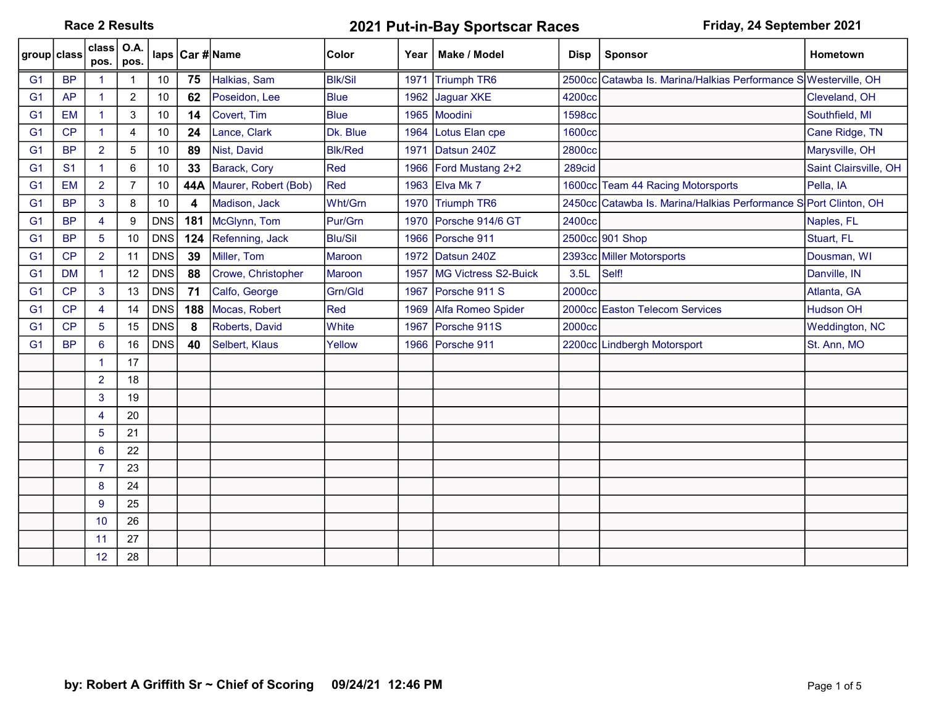## Race 2 Results **2021 Put-in-Bay Sportscar Races** Friday, 24 September 2021

| group class    |                | $class$ O.A.<br>pos. | pos.           |            |     | laps Car #Name       | Color          |      | Year   Make / Model  | <b>Disp</b> | <b>Sponsor</b>                                                   | <b>Hometown</b>       |
|----------------|----------------|----------------------|----------------|------------|-----|----------------------|----------------|------|----------------------|-------------|------------------------------------------------------------------|-----------------------|
| G <sub>1</sub> | <b>BP</b>      | $\blacktriangleleft$ |                | 10         | 75  | Halkias, Sam         | <b>Blk/Sil</b> | 1971 | Triumph TR6          |             | 2500cc Catawba Is. Marina/Halkias Performance SWesterville, OH   |                       |
| G <sub>1</sub> | <b>AP</b>      | $\mathbf{1}$         | $\overline{c}$ | 10         | 62  | Poseidon, Lee        | <b>Blue</b>    | 1962 | Jaguar XKE           | 4200cc      |                                                                  | Cleveland, OH         |
| G <sub>1</sub> | <b>EM</b>      | $\mathbf{1}$         | 3              | 10         | 14  | Covert, Tim          | <b>Blue</b>    |      | 1965 Moodini         | 1598cc      |                                                                  | Southfield, MI        |
| G <sub>1</sub> | CP             | $\blacktriangleleft$ | 4              | 10         | 24  | Lance, Clark         | Dk. Blue       | 1964 | Lotus Elan cpe       | 1600cc      |                                                                  | Cane Ridge, TN        |
| G <sub>1</sub> | <b>BP</b>      | $\overline{2}$       | 5              | 10         | 89  | Nist, David          | <b>BIK/Red</b> | 1971 | Datsun 240Z          | 2800cc      |                                                                  | Marysville, OH        |
| G <sub>1</sub> | S <sub>1</sub> | $\blacktriangleleft$ | 6              | 10         | 33  | Barack, Cory         | Red            | 1966 | Ford Mustang 2+2     | 289cid      |                                                                  | Saint Clairsville, OH |
| G <sub>1</sub> | <b>EM</b>      | $\overline{2}$       | 7              | 10         | 44A | Maurer, Robert (Bob) | Red            | 1963 | Elva Mk 7            |             | 1600cc Team 44 Racing Motorsports                                | Pella, IA             |
| G <sub>1</sub> | <b>BP</b>      | 3                    | 8              | 10         |     | Madison, Jack        | Wht/Grn        | 1970 | Triumph TR6          |             | 2450cc Catawba Is. Marina/Halkias Performance S Port Clinton, OH |                       |
| G <sub>1</sub> | <b>BP</b>      | 4                    | 9              | <b>DNS</b> | 181 | McGlynn, Tom         | Pur/Grn        | 1970 | Porsche 914/6 GT     | 2400cc      |                                                                  | Naples, FL            |
| G <sub>1</sub> | <b>BP</b>      | 5                    | 10             | <b>DNS</b> | 124 | Refenning, Jack      | <b>Blu/Sil</b> | 1966 | Porsche 911          |             | 2500cc 901 Shop                                                  | Stuart, FL            |
| G <sub>1</sub> | CP             | $\overline{2}$       | 11             | <b>DNS</b> | 39  | Miller, Tom          | Maroon         | 1972 | Datsun 240Z          |             | 2393cc Miller Motorsports                                        | Dousman, WI           |
| G <sub>1</sub> | <b>DM</b>      | $\mathbf 1$          | 12             | <b>DNS</b> | 88  | Crowe, Christopher   | Maroon         | 1957 | MG Victress S2-Buick | 3.5L        | Self!                                                            | Danville, IN          |
| G <sub>1</sub> | CP             | 3                    | 13             | <b>DNS</b> | 71  | Calfo, George        | Grn/Gld        | 1967 | Porsche 911 S        | 2000cc      |                                                                  | Atlanta, GA           |
| G <sub>1</sub> | CP             | 4                    | 14             | <b>DNS</b> | 188 | Mocas, Robert        | Red            | 1969 | Alfa Romeo Spider    |             | 2000cc Easton Telecom Services                                   | <b>Hudson OH</b>      |
| G <sub>1</sub> | CP             | 5                    | 15             | <b>DNS</b> | 8   | Roberts, David       | White          | 1967 | Porsche 911S         | 2000cc      |                                                                  | <b>Weddington, NC</b> |
| G <sub>1</sub> | <b>BP</b>      | 6                    | 16             | <b>DNS</b> | 40  | Selbert, Klaus       | Yellow         |      | 1966 Porsche 911     |             | 2200cc Lindbergh Motorsport                                      | St. Ann, MO           |
|                |                | $\blacktriangleleft$ | 17             |            |     |                      |                |      |                      |             |                                                                  |                       |
|                |                | $\overline{2}$       | 18             |            |     |                      |                |      |                      |             |                                                                  |                       |
|                |                | 3                    | 19             |            |     |                      |                |      |                      |             |                                                                  |                       |
|                |                | $\overline{4}$       | 20             |            |     |                      |                |      |                      |             |                                                                  |                       |
|                |                | 5                    | 21             |            |     |                      |                |      |                      |             |                                                                  |                       |
|                |                | 6                    | 22             |            |     |                      |                |      |                      |             |                                                                  |                       |
|                |                | $\overline{7}$       | 23             |            |     |                      |                |      |                      |             |                                                                  |                       |
|                |                | 8                    | 24             |            |     |                      |                |      |                      |             |                                                                  |                       |
|                |                | 9                    | 25             |            |     |                      |                |      |                      |             |                                                                  |                       |
|                |                | 10                   | 26             |            |     |                      |                |      |                      |             |                                                                  |                       |
|                |                | 11                   | 27             |            |     |                      |                |      |                      |             |                                                                  |                       |
|                |                | 12                   | 28             |            |     |                      |                |      |                      |             |                                                                  |                       |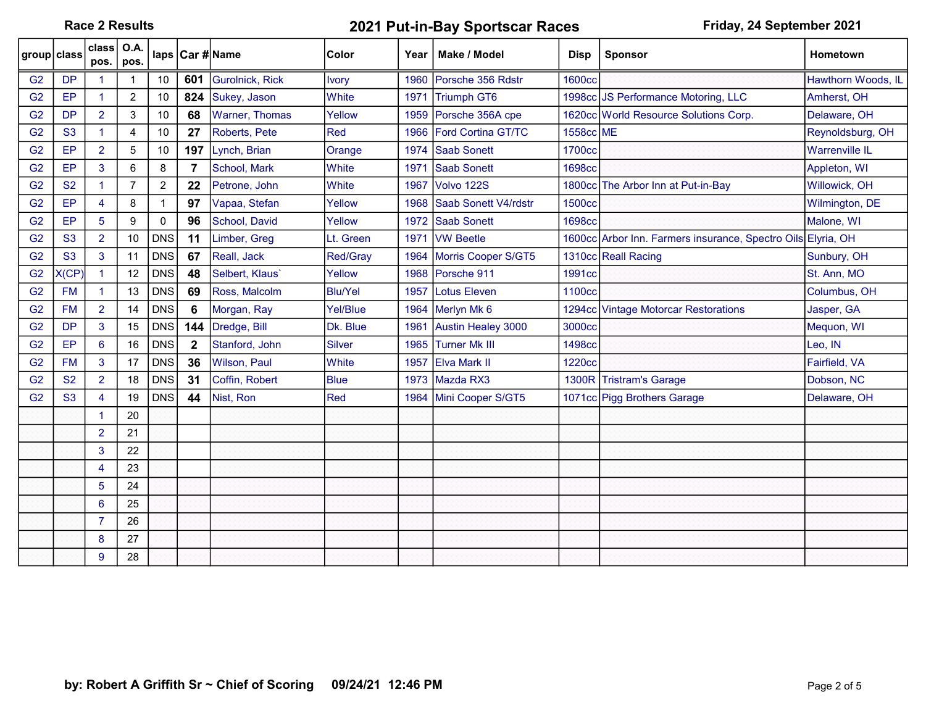Race 2 Results **2021 Put-in-Bay Sportscar Races** Friday, 24 September 2021

| ∣group class   |                | class $\overline{)$ O.A.<br>pos. | pos.           |                |              | laps Car #Name         | <b>Color</b>   | Year | Make / Model              | <b>Disp</b>   | <b>Sponsor</b>                                               | Hometown              |
|----------------|----------------|----------------------------------|----------------|----------------|--------------|------------------------|----------------|------|---------------------------|---------------|--------------------------------------------------------------|-----------------------|
| G <sub>2</sub> | <b>DP</b>      |                                  |                | 10             | 601          | <b>Gurolnick, Rick</b> | <b>Ivory</b>   | 1960 | Porsche 356 Rdstr         | <b>1600cc</b> |                                                              | Hawthorn Woods, IL    |
| G <sub>2</sub> | EP             | $\blacktriangleleft$             | $\overline{2}$ | 10             | 824          | Sukey, Jason           | <b>White</b>   | 1971 | <b>Triumph GT6</b>        |               | 1998cc JS Performance Motoring, LLC                          | Amherst, OH           |
| G <sub>2</sub> | <b>DP</b>      | $\overline{2}$                   | 3              | 10             | 68           | <b>Warner, Thomas</b>  | Yellow         | 1959 | Porsche 356A cpe          |               | 1620cc World Resource Solutions Corp.                        | Delaware, OH          |
| G <sub>2</sub> | <b>S3</b>      | $\mathbf{1}$                     | 4              | 10             | 27           | Roberts, Pete          | Red            | 1966 | <b>Ford Cortina GT/TC</b> | 1558cc ME     |                                                              | Reynoldsburg, OH      |
| G <sub>2</sub> | EP             | $\overline{2}$                   | 5              | 10             | 197          | Lynch, Brian           | Orange         | 1974 | <b>Saab Sonett</b>        | 1700cc        |                                                              | <b>Warrenville IL</b> |
| G <sub>2</sub> | EP             | 3                                | 6              | 8              | 7            | School, Mark           | White          | 1971 | <b>Saab Sonett</b>        | <b>1698cc</b> |                                                              | Appleton, WI          |
| G <sub>2</sub> | <b>S2</b>      | $\mathbf{1}$                     | 7              | $\overline{c}$ | 22           | Petrone, John          | <b>White</b>   | 1967 | Volvo 122S                |               | 1800cc The Arbor Inn at Put-in-Bay                           | Willowick, OH         |
| G <sub>2</sub> | EP             | 4                                | 8              | 1              | 97           | Vapaa, Stefan          | Yellow         | 1968 | Saab Sonett V4/rdstr      | 1500cc        |                                                              | Wilmington, DE        |
| G <sub>2</sub> | EP             | 5                                | 9              | 0              | 96           | School, David          | Yellow         | 1972 | <b>Saab Sonett</b>        | 1698cc        |                                                              | Malone, WI            |
| G <sub>2</sub> | <b>S3</b>      | $\overline{2}$                   | 10             | <b>DNS</b>     | 11           | Limber, Greg           | Lt. Green      | 1971 | <b>VW Beetle</b>          |               | 1600cc Arbor Inn. Farmers insurance, Spectro Oils Elyria, OH |                       |
| G <sub>2</sub> | S <sub>3</sub> | 3                                | 11             | <b>DNS</b>     | 67           | Reall, Jack            | Red/Gray       | 1964 | Morris Cooper S/GT5       |               | 1310cc Reall Racing                                          | Sunbury, OH           |
| G <sub>2</sub> | X(CP)          | 1.                               | 12             | <b>DNS</b>     | 48           | Selbert, Klaus'        | Yellow         |      | 1968 Porsche 911          | 1991cc        |                                                              | St. Ann, MO           |
| G <sub>2</sub> | <b>FM</b>      | 1.                               | 13             | <b>DNS</b>     | 69           | Ross, Malcolm          | <b>Blu/Yel</b> | 1957 | <b>Lotus Eleven</b>       | 1100cc        |                                                              | Columbus, OH          |
| G <sub>2</sub> | <b>FM</b>      | $\overline{2}$                   | 14             | <b>DNS</b>     | 6            | Morgan, Ray            | Yel/Blue       | 1964 | Merlyn Mk 6               |               | 1294cc Vintage Motorcar Restorations                         | Jasper, GA            |
| G <sub>2</sub> | <b>DP</b>      | 3                                | 15             | <b>DNS</b>     | 144          | Dredge, Bill           | Dk. Blue       | 1961 | Austin Healey 3000        | 3000cc        |                                                              | Mequon, WI            |
| G <sub>2</sub> | EP             | 6                                | 16             | <b>DNS</b>     | $\mathbf{2}$ | Stanford, John         | Silver         | 1965 | <b>Turner Mk III</b>      | <b>1498cc</b> |                                                              | Leo, IN               |
| G <sub>2</sub> | <b>FM</b>      | 3                                | 17             | <b>DNS</b>     | 36           | Wilson, Paul           | White          | 1957 | <b>Elva Mark II</b>       | 1220cc        |                                                              | Fairfield, VA         |
| G <sub>2</sub> | <b>S2</b>      | $\overline{2}$                   | 18             | <b>DNS</b>     | 31           | Coffin, Robert         | <b>Blue</b>    | 1973 | Mazda RX3                 |               | 1300R Tristram's Garage                                      | Dobson, NC            |
| G <sub>2</sub> | <b>S3</b>      | $\overline{4}$                   | 19             | <b>DNS</b>     | 44           | Nist, Ron              | Red            | 1964 | Mini Cooper S/GT5         |               | 1071cc Pigg Brothers Garage                                  | Delaware, OH          |
|                |                |                                  | 20             |                |              |                        |                |      |                           |               |                                                              |                       |
|                |                | $\overline{2}$                   | 21             |                |              |                        |                |      |                           |               |                                                              |                       |
|                |                | 3                                | 22             |                |              |                        |                |      |                           |               |                                                              |                       |
|                |                | $\overline{4}$                   | 23             |                |              |                        |                |      |                           |               |                                                              |                       |
|                |                | 5                                | 24             |                |              |                        |                |      |                           |               |                                                              |                       |
|                |                | 6                                | 25             |                |              |                        |                |      |                           |               |                                                              |                       |
|                |                | $\overline{7}$                   | 26             |                |              |                        |                |      |                           |               |                                                              |                       |
|                |                | 8                                | 27             |                |              |                        |                |      |                           |               |                                                              |                       |
|                |                | 9                                | 28             |                |              |                        |                |      |                           |               |                                                              |                       |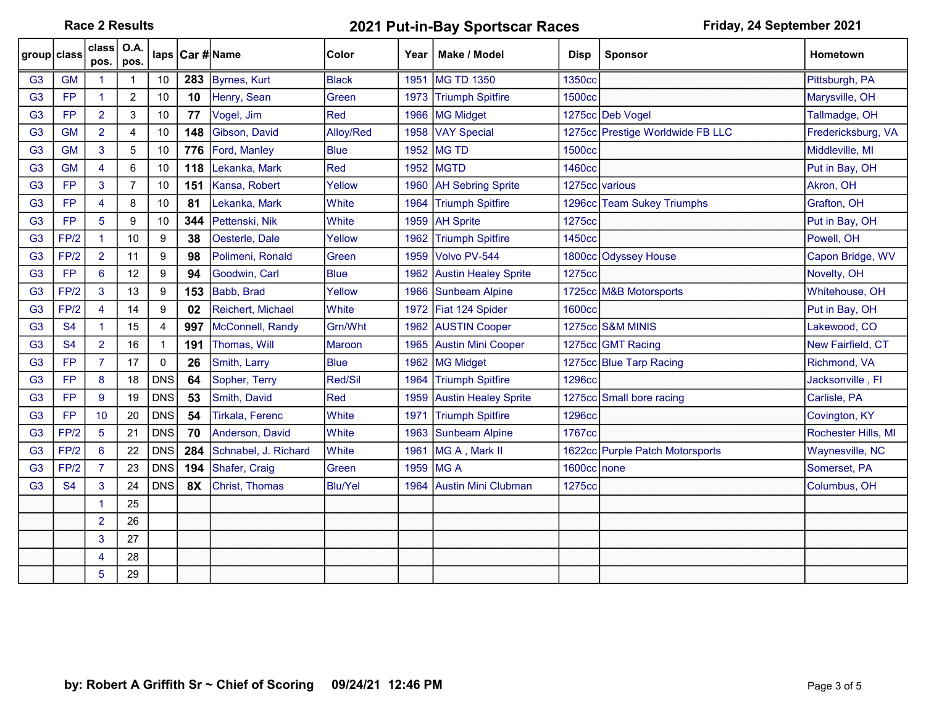Race 2 Results **2021 Put-in-Bay Sportscar Races** Friday, 24 September 2021

| group class    |           | class $\overline{)$ O.A. | pos. $ pos$ .  |              |           | laps Car #Name       | Color          | Year | Make / Model                | <b>Disp</b>   | <b>Sponsor</b>                   | Hometown            |
|----------------|-----------|--------------------------|----------------|--------------|-----------|----------------------|----------------|------|-----------------------------|---------------|----------------------------------|---------------------|
| G3             | <b>GM</b> |                          |                | 10           | 283       | Byrnes, Kurt         | <b>Black</b>   | 1951 | <b>IMG TD 1350</b>          | 1350cc        |                                  | Pittsburgh, PA      |
| G <sub>3</sub> | <b>FP</b> | $\blacktriangleleft$     | $\overline{c}$ | 10           | 10        | Henry, Sean          | Green          | 1973 | <b>Triumph Spitfire</b>     | 1500cc        |                                  | Marysville, OH      |
| G <sub>3</sub> | <b>FP</b> | $\overline{2}$           | 3              | 10           | 77        | Vogel, Jim           | Red            | 1966 | MG Midget                   |               | 1275cc Deb Vogel                 | Tallmadge, OH       |
| G <sub>3</sub> | <b>GM</b> | $\overline{2}$           | 4              | $10$         | 148       | Gibson, David        | Alloy/Red      | 1958 | <b>VAY Special</b>          |               | 1275cc Prestige Worldwide FB LLC | Fredericksburg, VA  |
| G <sub>3</sub> | <b>GM</b> | 3                        | 5              | $10$         | 776       | Ford, Manley         | <b>Blue</b>    |      | 1952 MG TD                  | <b>1500cc</b> |                                  | Middleville, MI     |
| G <sub>3</sub> | <b>GM</b> | $\overline{4}$           | 6              | 10           | 118       | Lekanka, Mark        | Red            | 1952 | <b>MGTD</b>                 | 1460cc        |                                  | Put in Bay, OH      |
| G <sub>3</sub> | <b>FP</b> | $\overline{3}$           | $\overline{7}$ | 10           | 151       | Kansa, Robert        | Yellow         | 1960 | <b>AH Sebring Sprite</b>    |               | 1275cc various                   | Akron, OH           |
| G <sub>3</sub> | <b>FP</b> | $\overline{4}$           | 8              | 10           | 81        | Lekanka, Mark        | White          | 1964 | <b>Triumph Spitfire</b>     |               | 1296cc Team Sukey Triumphs       | Grafton, OH         |
| G <sub>3</sub> | <b>FP</b> | 5 <sup>5</sup>           | 9              | 10           | 344       | Pettenski, Nik       | White          | 1959 | <b>AH Sprite</b>            | 1275cc        |                                  | Put in Bay, OH      |
| G <sub>3</sub> | FP/2      | $\blacktriangleleft$     | 10             | 9            | 38        | Oesterle, Dale       | Yellow         | 1962 | <b>Triumph Spitfire</b>     | 1450cc        |                                  | Powell, OH          |
| G <sub>3</sub> | FP/2      | $\overline{2}$           | 11             | 9            | 98        | Polimeni, Ronald     | Green          | 1959 | Volvo PV-544                |               | 1800cc Odyssey House             | Capon Bridge, WV    |
| G <sub>3</sub> | <b>FP</b> | 6                        | 12             | 9            | 94        | Goodwin, Carl        | <b>Blue</b>    | 1962 | <b>Austin Healey Sprite</b> | 1275cc        |                                  | Novelty, OH         |
| G <sub>3</sub> | FP/2      | $\mathbf{3}$             | 13             | 9            | 153       | Babb, Brad           | Yellow         | 1966 | Sunbeam Alpine              |               | 1725cc M&B Motorsports           | Whitehouse, OH      |
| G <sub>3</sub> | FP/2      | $\overline{4}$           | 14             | 9            | 02        | Reichert, Michael    | White          | 1972 | Fiat 124 Spider             | <b>1600cc</b> |                                  | Put in Bay, OH      |
| G <sub>3</sub> | <b>S4</b> |                          | 15             | 4            | 997       | McConnell, Randy     | Grn/Wht        | 1962 | <b>AUSTIN Cooper</b>        |               | 1275cc S&M MINIS                 | Lakewood, CO        |
| G <sub>3</sub> | <b>S4</b> | $\overline{2}$           | 16             | $\mathbf{1}$ | 191       | Thomas, Will         | Maroon         | 1965 | <b>Austin Mini Cooper</b>   |               | 1275cc GMT Racing                | New Fairfield, CT   |
| G <sub>3</sub> | <b>FP</b> | $\overline{7}$           | 17             | $\mathbf 0$  | 26        | Smith, Larry         | <b>Blue</b>    | 1962 | MG Midget                   |               | 1275cc Blue Tarp Racing          | Richmond, VA        |
| G <sub>3</sub> | <b>FP</b> | 8                        | 18             | <b>DNS</b>   | 64        | Sopher, Terry        | Red/Sil        | 1964 | <b>Triumph Spitfire</b>     | <b>1296cc</b> |                                  | Jacksonville, Fl    |
| G <sub>3</sub> | <b>FP</b> | 9                        | 19             | <b>DNS</b>   | 53        | Smith, David         | Red            | 1959 | <b>Austin Healey Sprite</b> |               | 1275cc Small bore racing         | Carlisle, PA        |
| G <sub>3</sub> | <b>FP</b> | 10                       | 20             | <b>DNS</b>   | 54        | Tirkala, Ferenc      | <b>White</b>   | 1971 | <b>Triumph Spitfire</b>     | <b>1296cc</b> |                                  | Covington, KY       |
| G <sub>3</sub> | FP/2      | 5                        | 21             | <b>DNS</b>   | 70        | Anderson, David      | White          | 1963 | <b>Sunbeam Alpine</b>       | 1767cc        |                                  | Rochester Hills, MI |
| G <sub>3</sub> | FP/2      | $6\phantom{1}$           | 22             | <b>DNS</b>   | 284       | Schnabel, J. Richard | White          | 1961 | MG A, Mark II               |               | 1622cc Purple Patch Motorsports  | Waynesville, NC     |
| G <sub>3</sub> | FP/2      | $\overline{7}$           | 23             | <b>DNS</b>   | 194       | Shafer, Craig        | Green          | 1959 | <b>MGA</b>                  | 1600cc none   |                                  | Somerset, PA        |
| G <sub>3</sub> | <b>S4</b> | 3                        | 24             | <b>DNS</b>   | <b>8X</b> | Christ, Thomas       | <b>Blu/Yel</b> | 1964 | Austin Mini Clubman         | 1275cc        |                                  | Columbus, OH        |
|                |           | -1                       | 25             |              |           |                      |                |      |                             |               |                                  |                     |
|                |           | $\overline{2}$           | 26             |              |           |                      |                |      |                             |               |                                  |                     |
|                |           | $\overline{3}$           | 27             |              |           |                      |                |      |                             |               |                                  |                     |
|                |           | $\overline{4}$           | 28             |              |           |                      |                |      |                             |               |                                  |                     |
|                |           | 5                        | 29             |              |           |                      |                |      |                             |               |                                  |                     |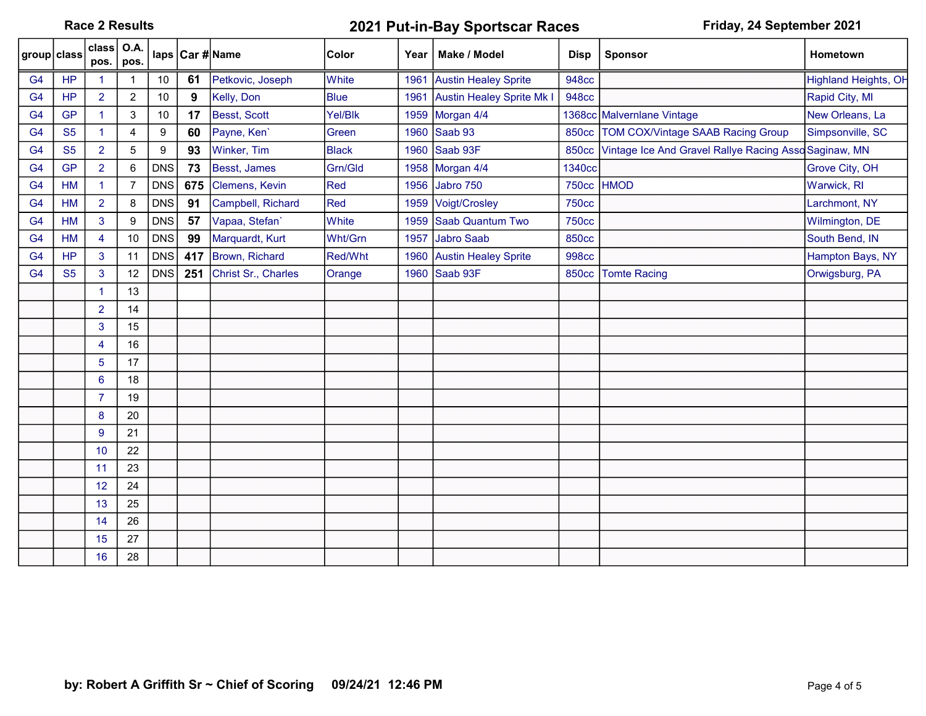Race 2 Results **2021 Put-in-Bay Sportscar Races** Friday, 24 September 2021

| group class    |           | class $\overline{)$ O.A.<br>pos. | pos.           |            |     | laps Car #Name      | <b>Color</b> |      | Year   Make / Model         | <b>Disp</b>  | <b>Sponsor</b>                                        | Hometown                    |
|----------------|-----------|----------------------------------|----------------|------------|-----|---------------------|--------------|------|-----------------------------|--------------|-------------------------------------------------------|-----------------------------|
| G <sub>4</sub> | <b>HP</b> | $\blacktriangleleft$             |                | 10         | 61  | Petkovic, Joseph    | White        | 1961 | <b>Austin Healey Sprite</b> | <b>948cc</b> |                                                       | <b>Highland Heights, OH</b> |
| G <sub>4</sub> | <b>HP</b> | $\overline{2}$                   | $\overline{c}$ | 10         | 9   | Kelly, Don          | <b>Blue</b>  | 1961 | Austin Healey Sprite Mk I   | <b>948cc</b> |                                                       | Rapid City, MI              |
| G <sub>4</sub> | <b>GP</b> | $\blacktriangleleft$             | 3              | 10         | 17  | Besst, Scott        | Yel/Blk      | 1959 | Morgan 4/4                  |              | 1368cc Malvernlane Vintage                            | New Orleans, La             |
| G <sub>4</sub> | <b>S5</b> |                                  | 4              | 9          | 60  | Payne, Ken'         | Green        |      | 1960 Saab 93                | <b>850cc</b> | <b>TOM COX/Vintage SAAB Racing Group</b>              | Simpsonville, SC            |
| G <sub>4</sub> | <b>S5</b> | $\overline{2}$                   | 5              | 9          | 93  | Winker, Tim         | <b>Black</b> |      | 1960 Saab 93F               | <b>850cc</b> | Vintage Ice And Gravel Rallye Racing Asso Saginaw, MN |                             |
| G <sub>4</sub> | <b>GP</b> | $\overline{2}$                   | 6              | <b>DNS</b> | 73  | Besst, James        | Grn/Gld      |      | 1958 Morgan 4/4             | 1340cc       |                                                       | Grove City, OH              |
| G <sub>4</sub> | <b>HM</b> | $\mathbf{1}$                     | 7              | <b>DNS</b> | 675 | Clemens, Kevin      | Red          | 1956 | Jabro 750                   | <b>750cc</b> | <b>HMOD</b>                                           | Warwick, RI                 |
| G <sub>4</sub> | <b>HM</b> | $\overline{2}$                   | 8              | <b>DNS</b> | 91  | Campbell, Richard   | Red          |      | 1959 Voigt/Crosley          | <b>750cc</b> |                                                       | Larchmont, NY               |
| G <sub>4</sub> | <b>HM</b> | 3                                | 9              | <b>DNS</b> | 57  | Vapaa, Stefan'      | <b>White</b> |      | 1959 Saab Quantum Two       | <b>750cc</b> |                                                       | Wilmington, DE              |
| G <sub>4</sub> | <b>HM</b> | $\overline{4}$                   | 10             | <b>DNS</b> | 99  | Marquardt, Kurt     | Wht/Grn      | 1957 | <b>Jabro Saab</b>           | <b>850cc</b> |                                                       | South Bend, IN              |
| G <sub>4</sub> | <b>HP</b> | 3                                | 11             | <b>DNS</b> | 417 | Brown, Richard      | Red/Wht      |      | 1960 Austin Healey Sprite   | 998cc        |                                                       | Hampton Bays, NY            |
| G <sub>4</sub> | <b>S5</b> | 3                                | 12             | <b>DNS</b> | 251 | Christ Sr., Charles | Orange       |      | 1960 Saab 93F               | 850cc        | <b>Tomte Racing</b>                                   | Orwigsburg, PA              |
|                |           | $\blacktriangleleft$             | 13             |            |     |                     |              |      |                             |              |                                                       |                             |
|                |           | $\overline{2}$                   | 14             |            |     |                     |              |      |                             |              |                                                       |                             |
|                |           | 3                                | 15             |            |     |                     |              |      |                             |              |                                                       |                             |
|                |           | $\overline{4}$                   | 16             |            |     |                     |              |      |                             |              |                                                       |                             |
|                |           | $5\phantom{.0}$                  | 17             |            |     |                     |              |      |                             |              |                                                       |                             |
|                |           | $6\phantom{1}$                   | 18             |            |     |                     |              |      |                             |              |                                                       |                             |
|                |           | $\overline{7}$                   | 19             |            |     |                     |              |      |                             |              |                                                       |                             |
|                |           | 8                                | 20             |            |     |                     |              |      |                             |              |                                                       |                             |
|                |           | 9                                | 21             |            |     |                     |              |      |                             |              |                                                       |                             |
|                |           | 10                               | 22             |            |     |                     |              |      |                             |              |                                                       |                             |
|                |           | 11                               | 23             |            |     |                     |              |      |                             |              |                                                       |                             |
|                |           | 12                               | 24             |            |     |                     |              |      |                             |              |                                                       |                             |
|                |           | 13                               | 25             |            |     |                     |              |      |                             |              |                                                       |                             |
|                |           | 14                               | 26             |            |     |                     |              |      |                             |              |                                                       |                             |
|                |           | 15                               | 27             |            |     |                     |              |      |                             |              |                                                       |                             |
|                |           | 16                               | 28             |            |     |                     |              |      |                             |              |                                                       |                             |